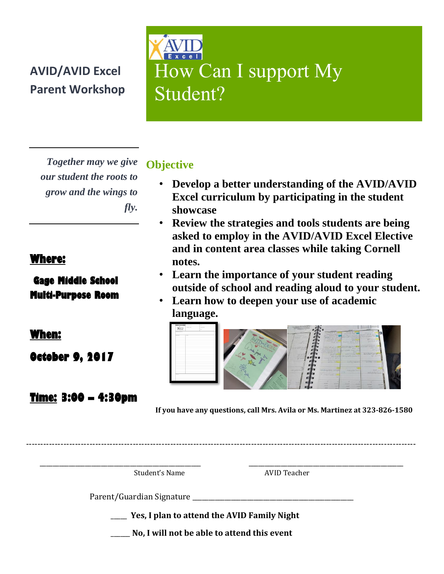## **AVID/AVID Excel Parent Workshop**

How Can I support My Student? 

*Together may we give our student the roots to grow and the wings to fly.*

### **Where:**

### **Gage Middle School Multi-Purpose Room**

**When:** 

**October 9, 2017** 

### **Time: 3:00 – 4:30pm**

**Objective**

- **Develop a better understanding of the AVID/AVID Excel curriculum by participating in the student showcase**
- **Review the strategies and tools students are being asked to employ in the AVID/AVID Excel Elective and in content area classes while taking Cornell notes.**
- **Learn the importance of your student reading outside of school and reading aloud to your student.**
- **Learn how to deepen your use of academic language.**



**If you have any questions, call Mrs. Avila or Ms. Martinez at 323-826-1580**

Student's Name AVID Teacher

Parent/Guardian Signature

\_\_\_\_\_ **Yes, I plan to attend the AVID Family Night**

---------------------------------------------------------------------------------------------------------------------------------------

 $\overline{\phantom{a}}$  , and the contract of the contract of the contract of the contract of the contract of the contract of the contract of the contract of the contract of the contract of the contract of the contract of the contrac

\_\_\_\_\_\_ **No, I will not be able to attend this event**